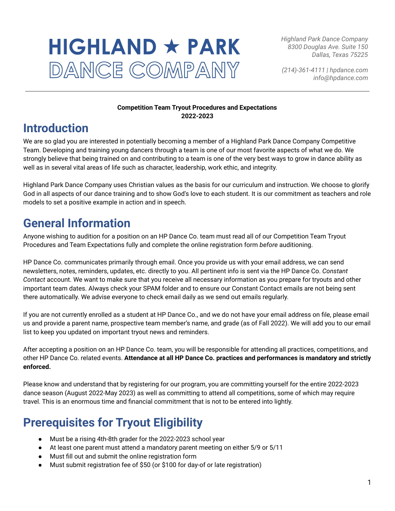# $HIGHLAND \star PARK$ DANCE COMPANY

*Highland Park Dance Company 8300 Douglas Ave. Suite 150 Dallas, Texas 75225*

*(214)-361-4111 | hpdance.com info@hpdance.com*

### **Competition Team Tryout Procedures and Expectations 2022-2023**

### **Introduction**

We are so glad you are interested in potentially becoming a member of a Highland Park Dance Company Competitive Team. Developing and training young dancers through a team is one of our most favorite aspects of what we do. We strongly believe that being trained on and contributing to a team is one of the very best ways to grow in dance ability as well as in several vital areas of life such as character, leadership, work ethic, and integrity.

Highland Park Dance Company uses Christian values as the basis for our curriculum and instruction. We choose to glorify God in all aspects of our dance training and to show God's love to each student. It is our commitment as teachers and role models to set a positive example in action and in speech.

### **General Information**

Anyone wishing to audition for a position on an HP Dance Co. team must read all of our Competition Team Tryout Procedures and Team Expectations fully and complete the online registration form *before* auditioning.

HP Dance Co. communicates primarily through email. Once you provide us with your email address, we can send newsletters, notes, reminders, updates, etc. directly to you. All pertinent info is sent via the HP Dance Co. *Constant Contact* account. We want to make sure that you receive all necessary information as you prepare for tryouts and other important team dates. Always check your SPAM folder and to ensure our Constant Contact emails are not being sent there automatically. We advise everyone to check email daily as we send out emails regularly.

If you are not currently enrolled as a student at HP Dance Co., and we do not have your email address on file, please email us and provide a parent name, prospective team member's name, and grade (as of Fall 2022). We will add you to our email list to keep you updated on important tryout news and reminders.

After accepting a position on an HP Dance Co. team, you will be responsible for attending all practices, competitions, and other HP Dance Co. related events. **Attendance at all HP Dance Co. practices and performances is mandatory and strictly enforced.**

Please know and understand that by registering for our program, you are committing yourself for the entire 2022-2023 dance season (August 2022-May 2023) as well as committing to attend all competitions, some of which may require travel. This is an enormous time and financial commitment that is not to be entered into lightly.

### **Prerequisites for Tryout Eligibility**

- Must be a rising 4th-8th grader for the 2022-2023 school year
- At least one parent must attend a mandatory parent meeting on either 5/9 or 5/11
- Must fill out and submit the online registration form
- Must submit registration fee of \$50 (or \$100 for day-of or late registration)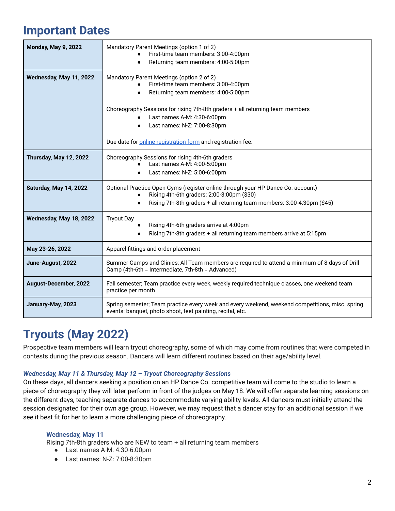### **Important Dates**

| <b>Monday, May 9, 2022</b>    | Mandatory Parent Meetings (option 1 of 2)<br>First-time team members: 3:00-4:00pm<br>Returning team members: 4:00-5:00pm                                                                                 |
|-------------------------------|----------------------------------------------------------------------------------------------------------------------------------------------------------------------------------------------------------|
| Wednesday, May 11, 2022       | Mandatory Parent Meetings (option 2 of 2)<br>First-time team members: 3:00-4:00pm<br>Returning team members: 4:00-5:00pm                                                                                 |
|                               | Choreography Sessions for rising 7th-8th graders + all returning team members<br>Last names A-M: 4:30-6:00pm<br>Last names: N-Z: 7:00-8:30pm                                                             |
|                               | Due date for <b>online registration</b> form and registration fee.                                                                                                                                       |
| <b>Thursday, May 12, 2022</b> | Choreography Sessions for rising 4th-6th graders<br>Last names A-M: 4:00-5:00pm<br>Last names: N-Z: 5:00-6:00pm                                                                                          |
| Saturday, May 14, 2022        | Optional Practice Open Gyms (register online through your HP Dance Co. account)<br>Rising 4th-6th graders: 2:00-3:00pm (\$30)<br>Rising 7th-8th graders + all returning team members: 3:00-4:30pm (\$45) |
| Wednesday, May 18, 2022       | <b>Tryout Day</b><br>Rising 4th-6th graders arrive at 4:00pm<br>Rising 7th-8th graders + all returning team members arrive at 5:15pm                                                                     |
| May 23-26, 2022               | Apparel fittings and order placement                                                                                                                                                                     |
| June-August, 2022             | Summer Camps and Clinics; All Team members are required to attend a minimum of 8 days of Drill<br>Camp (4th-6th = Intermediate, 7th-8th = Advanced)                                                      |
| August-December, 2022         | Fall semester; Team practice every week, weekly required technique classes, one weekend team<br>practice per month                                                                                       |
| January-May, 2023             | Spring semester; Team practice every week and every weekend, weekend competitions, misc. spring<br>events: banquet, photo shoot, feet painting, recital, etc.                                            |

### **Tryouts (May 2022)**

Prospective team members will learn tryout choreography, some of which may come from routines that were competed in contests during the previous season. Dancers will learn different routines based on their age/ability level.

### *Wednesday, May 11 & Thursday, May 12 – Tryout Choreography Sessions*

On these days, all dancers seeking a position on an HP Dance Co. competitive team will come to the studio to learn a piece of choreography they will later perform in front of the judges on May 18. We will offer separate learning sessions on the different days, teaching separate dances to accommodate varying ability levels. All dancers must initially attend the session designated for their own age group. However, we may request that a dancer stay for an additional session if we see it best fit for her to learn a more challenging piece of choreography.

### **Wednesday, May 11**

Rising 7th-8th graders who are NEW to team + all returning team members

- Last names A-M: 4:30-6:00pm
- Last names: N-Z: 7:00-8:30pm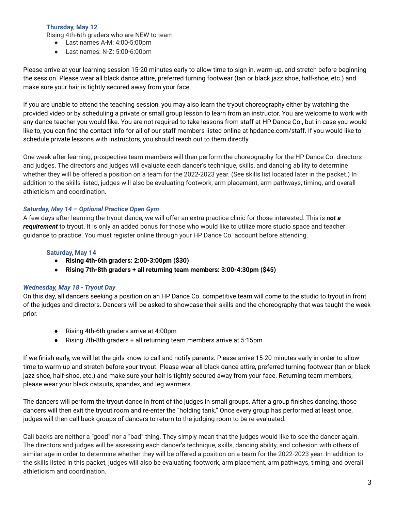### **Thursday, May 12**

Rising 4th-6th graders who are NEW to team

- Last names A-M: 4:00-5:00pm
- Last names: N-Z: 5:00-6:00pm

Please arrive at your learning session 15-20 minutes early to allow time to sign in, warm-up, and stretch before beginning the session. Please wear all black dance attire, preferred turning footwear (tan or black jazz shoe, half-shoe, etc.) and make sure your hair is tightly secured away from your face.

If you are unable to attend the teaching session, you may also learn the tryout choreography either by watching the provided video or by scheduling a private or small group lesson to learn from an instructor. You are welcome to work with any dance teacher you would like. You are not required to take lessons from staff at HP Dance Co., but in case you would like to, you can find the contact info for all of our staff members listed online at hpdance.com/staff. If you would like to schedule private lessons with instructors, you should reach out to them directly.

One week after learning, prospective team members will then perform the choreography for the HP Dance Co. directors and judges. The directors and judges will evaluate each dancer's technique, skills, and dancing ability to determine whether they will be offered a position on a team for the 2022-2023 year. (See skills list located later in the packet.) In addition to the skills listed, judges will also be evaluating footwork, arm placement, arm pathways, timing, and overall athleticism and coordination.

### *Saturday, May 14 – Optional Practice Open Gym*

A few days after learning the tryout dance, we will offer an extra practice clinic for those interested. This is *not a requirement* to tryout. It is only an added bonus for those who would like to utilize more studio space and teacher guidance to practice. You must register online through your HP Dance Co. account before attending.

### **Saturday, May 14**

- **● Rising 4th-6th graders: 2:00-3:00pm (\$30)**
- **● Rising 7th-8th graders + all returning team members: 3:00-4:30pm (\$45)**

### *Wednesday, May 18 - Tryout Day*

On this day, all dancers seeking a position on an HP Dance Co. competitive team will come to the studio to tryout in front of the judges and directors. Dancers will be asked to showcase their skills and the choreography that was taught the week prior.

- Rising 4th-6th graders arrive at 4:00pm
- Rising 7th-8th graders + all returning team members arrive at 5:15pm

If we finish early, we will let the girls know to call and notify parents. Please arrive 15-20 minutes early in order to allow time to warm-up and stretch before your tryout. Please wear all black dance attire, preferred turning footwear (tan or black jazz shoe, half-shoe, etc.) and make sure your hair is tightly secured away from your face. Returning team members, please wear your black catsuits, spandex, and leg warmers.

The dancers will perform the tryout dance in front of the judges in small groups. After a group finishes dancing, those dancers will then exit the tryout room and re-enter the "holding tank." Once every group has performed at least once, judges will then call back groups of dancers to return to the judging room to be re-evaluated.

Call backs are neither a "good" nor a "bad" thing. They simply mean that the judges would like to see the dancer again. The directors and judges will be assessing each dancer's technique, skills, dancing ability, and cohesion with others of similar age in order to determine whether they will be offered a position on a team for the 2022-2023 year. In addition to the skills listed in this packet, judges will also be evaluating footwork, arm placement, arm pathways, timing, and overall athleticism and coordination.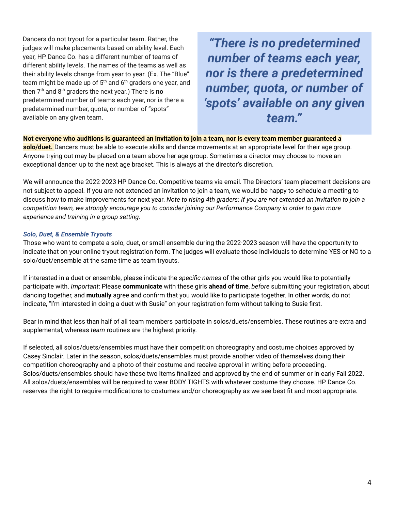Dancers do not tryout for a particular team. Rather, the judges will make placements based on ability level. Each year, HP Dance Co. has a different number of teams of different ability levels. The names of the teams as well as their ability levels change from year to year. (Ex. The "Blue" team might be made up of  $5^{\text{th}}$  and  $6^{\text{th}}$  graders one year, and then 7 th and 8 th graders the next year.) There is **no** predetermined number of teams each year, nor is there a predetermined number, quota, or number of "spots" available on any given team.

*"There is no predetermined number of teams each year, nor is there a predetermined number, quota, or number of 'spots' available on any given team."*

#### Not everyone who auditions is guaranteed an invitation to join a team, nor is every team member guaranteed a

**solo/duet.** Dancers must be able to execute skills and dance movements at an appropriate level for their age group. Anyone trying out may be placed on a team above her age group. Sometimes a director may choose to move an exceptional dancer up to the next age bracket. This is always at the director's discretion.

We will announce the 2022-2023 HP Dance Co. Competitive teams via email. The Directors' team placement decisions are not subject to appeal. If you are not extended an invitation to join a team, we would be happy to schedule a meeting to discuss how to make improvements for next year. Note to rising 4th graders: If you are not extended an invitation to join a competition team, we strongly encourage you to consider joining our Performance Company in order to gain more *experience and training in a group setting.*

#### *Solo, Duet, & Ensemble Tryouts*

Those who want to compete a solo, duet, or small ensemble during the 2022-2023 season will have the opportunity to indicate that on your online tryout registration form. The judges will evaluate those individuals to determine YES or NO to a solo/duet/ensemble at the same time as team tryouts.

If interested in a duet or ensemble, please indicate the *specific names* of the other girls you would like to potentially participate with. *Important*: Please **communicate** with these girls **ahead of time**, *before* submitting your registration, about dancing together, and **mutually** agree and confirm that you would like to participate together. In other words, do not indicate, "I'm interested in doing a duet with Susie" on your registration form without talking to Susie first.

Bear in mind that less than half of all team members participate in solos/duets/ensembles. These routines are extra and supplemental, whereas *team* routines are the highest priority.

If selected, all solos/duets/ensembles must have their competition choreography and costume choices approved by Casey Sinclair. Later in the season, solos/duets/ensembles must provide another video of themselves doing their competition choreography and a photo of their costume and receive approval in writing before proceeding. Solos/duets/ensembles should have these two items finalized and approved by the end of summer or in early Fall 2022. All solos/duets/ensembles will be required to wear BODY TIGHTS with whatever costume they choose. HP Dance Co. reserves the right to require modifications to costumes and/or choreography as we see best fit and most appropriate.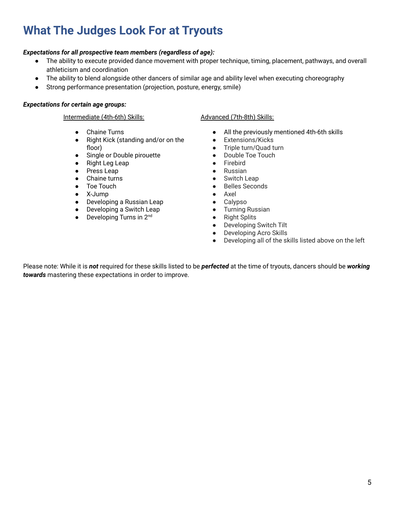## **What The Judges Look For at Tryouts**

### *Expectations for all prospective team members (regardless of age):*

- The ability to execute provided dance movement with proper technique, timing, placement, pathways, and overall athleticism and coordination
- The ability to blend alongside other dancers of similar age and ability level when executing choreography
- Strong performance presentation (projection, posture, energy, smile)

### *Expectations for certain age groups:*

### Intermediate (4th-6th) Skills: Advanced (7th-8th) Skills:

- Chaine Turns
- Right Kick (standing and/or on the floor)
- Single or Double pirouette
- **Right Leg Leap**
- Press Leap
- Chaine turns
- Toe Touch
- X-Jump
- Developing a Russian Leap
- Developing a Switch Leap
- $\bullet$  Developing Turns in 2<sup>nd</sup>

- All the previously mentioned 4th-6th skills
- Extensions/Kicks
- Triple turn/Quad turn
- Double Toe Touch
- Firebird
- Russian
- Switch Leap
- Belles Seconds
- Axel
- Calypso
- Turning Russian
- Right Splits
- Developing Switch Tilt
- Developing Acro Skills
- Developing all of the skills listed above on the left

Please note: While it is *not* required for these skills listed to be *perfected* at the time of tryouts, dancers should be *working towards* mastering these expectations in order to improve.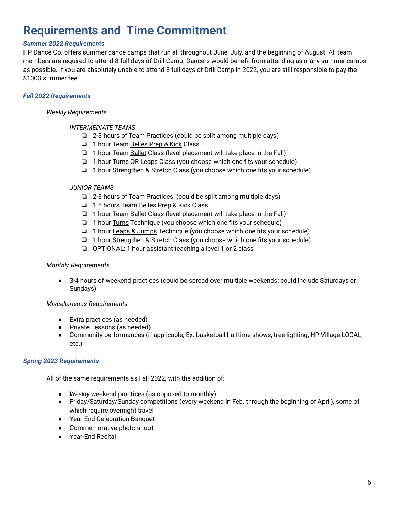### **Requirements and Time Commitment**

### *Summer 2022 Requirements*

HP Dance Co. offers summer dance camps that run all throughout June, July, and the beginning of August. All team members are required to attend 8 full days of Drill Camp. Dancers would benefit from attending as many summer camps as possible. If you are absolutely unable to attend 8 full days of Drill Camp in 2022, you are still responsible to pay the \$1000 summer fee.

### *Fall 2022 Requirements*

#### *Weekly Requirements*

- *INTERMEDIATE TEAMS*
	- ❏ 2-3 hours of Team Practices (could be split among multiple days)
	- ❏ 1 hour Team Belles Prep & Kick Class
	- ❏ 1 hour Team Ballet Class (level placement will take place in the Fall)
	- ❏ 1 hour Turns OR Leaps Class (you choose which one fits your schedule)
	- ❏ 1 hour Strengthen & Stretch Class (you choose which one fits your schedule)

### *JUNIOR TEAMS*

- ❏ 2-3 hours of Team Practices (could be split among multiple days)
- ❏ 1.5 hours Team Belles Prep & Kick Class
- ❏ 1 hour Team Ballet Class (level placement will take place in the Fall)
- ❏ 1 hour Turns Technique (you choose which one fits your schedule)
- ❏ 1 hour Leaps & Jumps Technique (you choose which one fits your schedule)
- ❏ 1 hour Strengthen & Stretch Class (you choose which one fits your schedule)
- ❏ OPTIONAL: 1 hour assistant teaching a level 1 or 2 class

### *Monthly Requirements*

● 3-4 hours of weekend practices (could be spread over multiple weekends; could include Saturdays or Sundays)

### *Miscellaneous Requirements*

- Extra practices (as needed)
- Private Lessons (as needed)
- Community performances (if applicable; Ex. basketball halftime shows, tree lighting, HP Village LOCAL, etc.)

### *Spring 2023 Requirements*

All of the same requirements as Fall 2022, with the addition of:

- *Weekly* weekend practices (as opposed to monthly)
- Friday/Saturday/Sunday competitions (every weekend in Feb. through the beginning of April), some of which require overnight travel
- Year-End Celebration Banquet
- Commemorative photo shoot
- Year-End Recital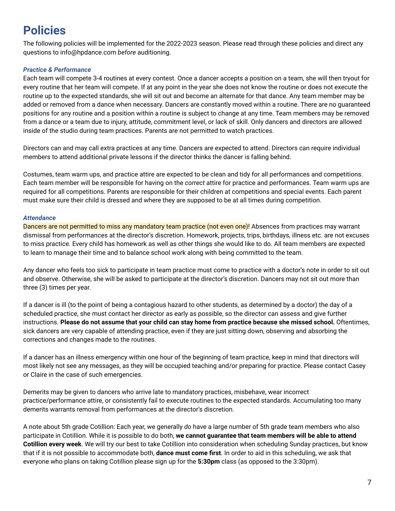### **Policies**

The following policies will be implemented for the 2022-2023 season. Please read through these policies and direct any questions to info@hpdance.com *before* auditioning.

### *Practice & Performance*

Each team will compete 3-4 routines at every contest. Once a dancer accepts a position on a team, she will then tryout for every routine that her team will compete. If at any point in the year she does not know the routine or does not execute the routine up to the expected standards, she will sit out and become an alternate for that dance. Any team member may be added or removed from a dance when necessary. Dancers are constantly moved within a routine. There are no guaranteed positions for any routine and a position within a routine is subject to change at any time. Team members may be removed from a dance or a team due to injury, attitude, commitment level, or lack of skill. Only dancers and directors are allowed inside of the studio during team practices. Parents are not permitted to watch practices.

Directors can and may call extra practices at any time. Dancers are expected to attend. Directors can require individual members to attend additional private lessons if the director thinks the dancer is falling behind.

Costumes, team warm ups, and practice attire are expected to be clean and tidy for all performances and competitions. Each team member will be responsible for having on the *correct* attire for practice and performances. Team warm ups are required for all competitions. Parents are responsible for their children at competitions and special events. Each parent must make sure their child is dressed and where they are supposed to be at all times during competition.

### *Attendance*

Dancers are not permitted to miss any mandatory team practice (not even one)! Absences from practices may warrant dismissal from performances at the director's discretion. Homework, projects, trips, birthdays, illness etc. are not excuses to miss practice. Every child has homework as well as other things she would like to do. All team members are expected to learn to manage their time and to balance school work along with being committed to the team.

Any dancer who feels too sick to participate in team practice must come to practice with a doctor's note in order to sit out and observe. Otherwise, she will be asked to participate at the director's discretion. Dancers may not sit out more than three (3) times per year.

If a dancer is ill (to the point of being a contagious hazard to other students, as determined by a doctor) the day of a scheduled practice, she must contact her director as early as possible, so the director can assess and give further instructions. Please do not assume that your child can stay home from practice because she missed school. Oftentimes, sick dancers are very capable of attending practice, even if they are just sitting down, observing and absorbing the corrections and changes made to the routines.

If a dancer has an illness emergency within one hour of the beginning of team practice, keep in mind that directors will most likely not see any messages, as they will be occupied teaching and/or preparing for practice. Please contact Casey or Claire in the case of such emergencies.

Demerits may be given to dancers who arrive late to mandatory practices, misbehave, wear incorrect practice/performance attire, or consistently fail to execute routines to the expected standards. Accumulating too many demerits warrants removal from performances at the director's discretion.

A note about 5th grade Cotillion: Each year, we generally *do* have a large number of 5th grade team members who also participate in Cotillion. While it is possible to do both, **we cannot guarantee that team members will be able to attend Cotillion every week**. We will try our best to take Cotillion into consideration when scheduling Sunday practices, but know that if it is not possible to accommodate both, **dance must come first**. In order to aid in this scheduling, we ask that everyone who plans on taking Cotillion please sign up for the **5:30pm** class (as opposed to the 3:30pm).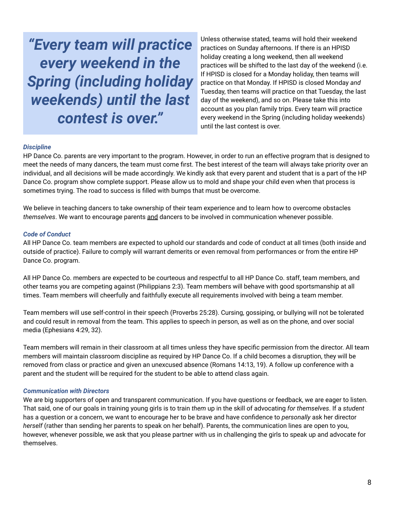*"Every team will practice every weekend in the Spring (including holiday weekends) until the last contest is over."*

Unless otherwise stated, teams will hold their weekend practices on Sunday afternoons. If there is an HPISD holiday creating a long weekend, then all weekend practices will be shifted to the last day of the weekend (i.e. If HPISD is closed for a Monday holiday, then teams will practice on that Monday. If HPISD is closed Monday *and* Tuesday, then teams will practice on that Tuesday, the last day of the weekend), and so on. Please take this into account as you plan family trips. Every team will practice every weekend in the Spring (including holiday weekends) until the last contest is over.

#### *Discipline*

HP Dance Co. parents are very important to the program. However, in order to run an effective program that is designed to meet the needs of many dancers, the team must come first. The best interest of the team will always take priority over an individual, and all decisions will be made accordingly. We kindly ask that every parent and student that is a part of the HP Dance Co. program show complete support. Please allow us to mold and shape your child even when that process is sometimes trying. The road to success is filled with bumps that must be overcome.

We believe in teaching dancers to take ownership of their team experience and to learn how to overcome obstacles *themselves*. We want to encourage parents and dancers to be involved in communication whenever possible.

### *Code of Conduct*

All HP Dance Co. team members are expected to uphold our standards and code of conduct at all times (both inside and outside of practice). Failure to comply will warrant demerits or even removal from performances or from the entire HP Dance Co. program.

All HP Dance Co. members are expected to be courteous and respectful to all HP Dance Co. staff, team members, and other teams you are competing against (Philippians 2:3). Team members will behave with good sportsmanship at all times. Team members will cheerfully and faithfully execute all requirements involved with being a team member.

Team members will use self-control in their speech (Proverbs 25:28). Cursing, gossiping, or bullying will not be tolerated and could result in removal from the team. This applies to speech in person, as well as on the phone, and over social media (Ephesians 4:29, 32).

Team members will remain in their classroom at all times unless they have specific permission from the director. All team members will maintain classroom discipline as required by HP Dance Co. If a child becomes a disruption, they will be removed from class or practice and given an unexcused absence (Romans 14:13, 19). A follow up conference with a parent and the student will be required for the student to be able to attend class again.

#### *Communication with Directors*

We are big supporters of open and transparent communication. If you have questions or feedback, we are eager to listen. That said, one of our goals in training young girls is to train *them* up in the skill of advocating *for themselves*. If a *student* has a question or a concern, we want to encourage her to be brave and have confidence to *personally* ask her director *herself* (rather than sending her parents to speak on her behalf). Parents, the communication lines are open to you, however, whenever possible, we ask that you please partner with us in challenging the girls to speak up and advocate for themselves.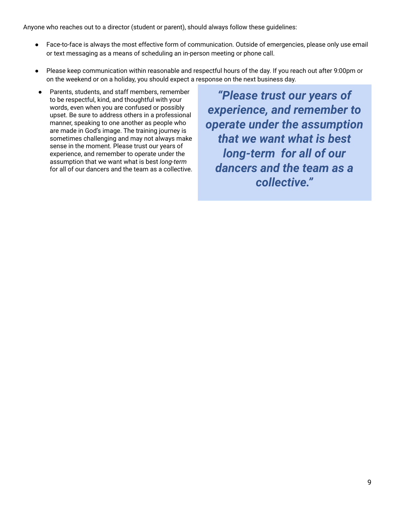Anyone who reaches out to a director (student or parent), should always follow these guidelines:

- Face-to-face is always the most effective form of communication. Outside of emergencies, please only use email or text messaging as a means of scheduling an in-person meeting or phone call.
- Please keep communication within reasonable and respectful hours of the day. If you reach out after 9:00pm or on the weekend or on a holiday, you should expect a response on the next business day.
- Parents, students, and staff members, remember to be respectful, kind, and thoughtful with your words, even when you are confused or possibly upset. Be sure to address others in a professional manner, speaking to one another as people who are made in God's image. The training journey is sometimes challenging and may not always make sense in the moment. Please trust our years of experience, and remember to operate under the assumption that we want what is best *long-term* for all of our dancers and the team as a collective.

*"Please trust our years of experience, and remember to operate under the assumption that we want what is best long-term for all of our dancers and the team as a collective."*